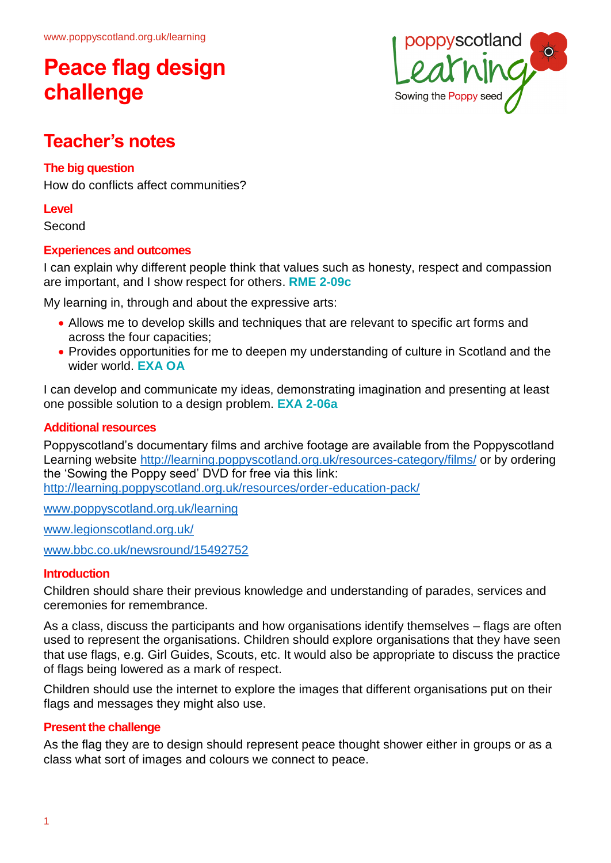

### **Teacher's notes**

### **The big question**

How do conflicts affect communities?

#### **Level**

Second

### **Experiences and outcomes**

I can explain why different people think that values such as honesty, respect and compassion are important, and I show respect for others. **RME 2-09c**

My learning in, through and about the expressive arts:

- Allows me to develop skills and techniques that are relevant to specific art forms and across the four capacities;
- Provides opportunities for me to deepen my understanding of culture in Scotland and the wider world. **EXA OA**

I can develop and communicate my ideas, demonstrating imagination and presenting at least one possible solution to a design problem. **EXA 2-06a**

### **Additional resources**

Poppyscotland's documentary films and archive footage are available from the Poppyscotland Learning website<http://learning.poppyscotland.org.uk/resources-category/films/> or by ordering the 'Sowing the Poppy seed' DVD for free via this link: <http://learning.poppyscotland.org.uk/resources/order-education-pack/>

[www.poppyscotland.org.uk/learning](http://www.poppyscotland.org.uk/learning)

[www.legionscotland.org.uk/](https://www.legionscotland.org.uk/)

[www.bbc.co.uk/newsround/15492752](http://www.bbc.co.uk/newsround/15492752) 

### **Introduction**

Children should share their previous knowledge and understanding of parades, services and ceremonies for remembrance.

As a class, discuss the participants and how organisations identify themselves – flags are often used to represent the organisations. Children should explore organisations that they have seen that use flags, e.g. Girl Guides, Scouts, etc. It would also be appropriate to discuss the practice of flags being lowered as a mark of respect.

Children should use the internet to explore the images that different organisations put on their flags and messages they might also use.

### **Present the challenge**

As the flag they are to design should represent peace thought shower either in groups or as a class what sort of images and colours we connect to peace.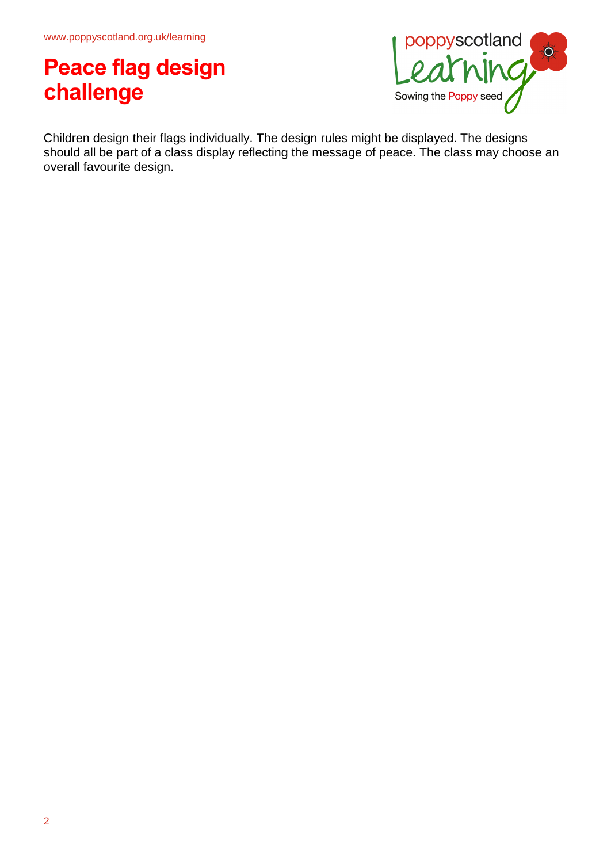

Children design their flags individually. The design rules might be displayed. The designs should all be part of a class display reflecting the message of peace. The class may choose an overall favourite design.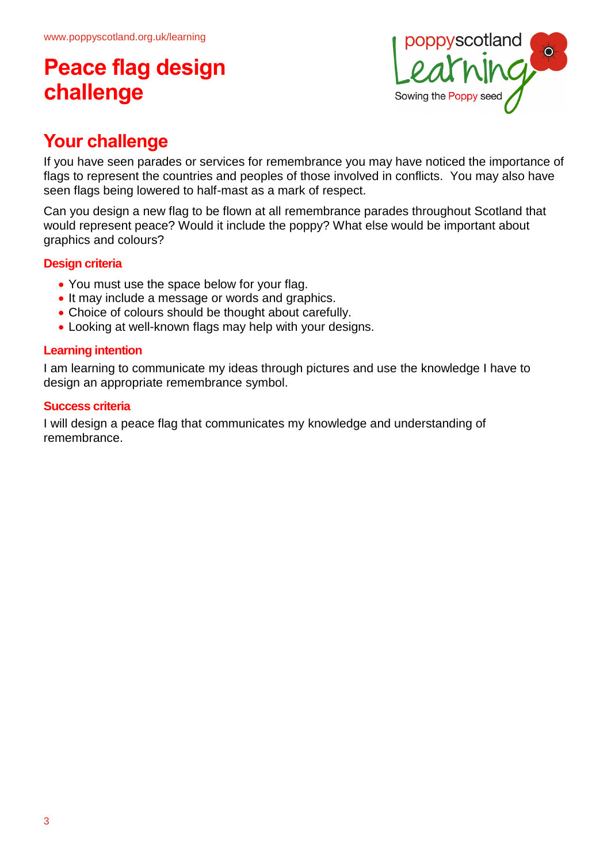

### **Your challenge**

If you have seen parades or services for remembrance you may have noticed the importance of flags to represent the countries and peoples of those involved in conflicts. You may also have seen flags being lowered to half-mast as a mark of respect.

Can you design a new flag to be flown at all remembrance parades throughout Scotland that would represent peace? Would it include the poppy? What else would be important about graphics and colours?

### **Design criteria**

- You must use the space below for your flag.
- It may include a message or words and graphics.
- Choice of colours should be thought about carefully.
- Looking at well-known flags may help with your designs.

### **Learning intention**

I am learning to communicate my ideas through pictures and use the knowledge I have to design an appropriate remembrance symbol.

#### **Success criteria**

I will design a peace flag that communicates my knowledge and understanding of remembrance.